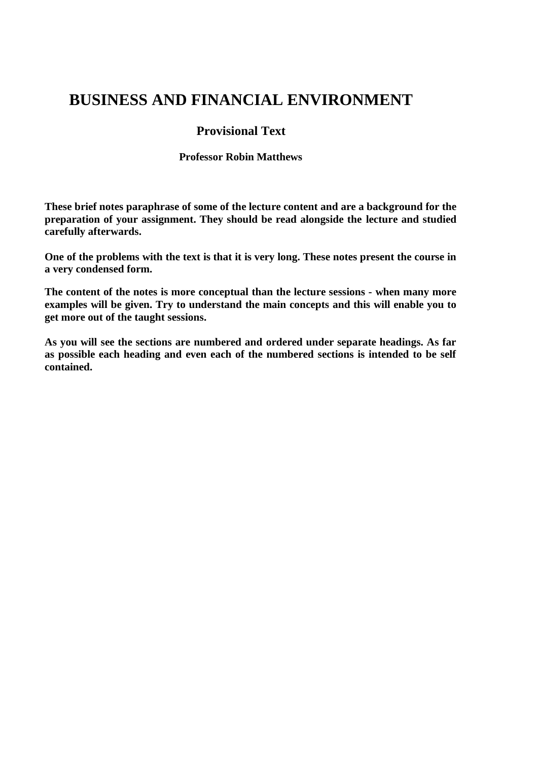# **BUSINESS AND FINANCIAL ENVIRONMENT**

## **Provisional Text**

#### **Professor Robin Matthews**

**These brief notes paraphrase of some of the lecture content and are a background for the preparation of your assignment. They should be read alongside the lecture and studied carefully afterwards.**

**One of the problems with the text is that it is very long. These notes present the course in a very condensed form.**

**The content of the notes is more conceptual than the lecture sessions - when many more examples will be given. Try to understand the main concepts and this will enable you to get more out of the taught sessions.** 

**As you will see the sections are numbered and ordered under separate headings. As far as possible each heading and even each of the numbered sections is intended to be self contained.**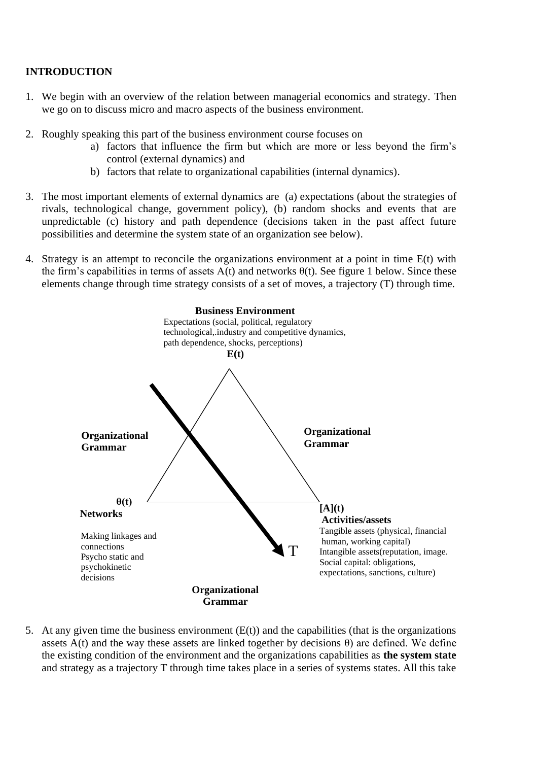## **INTRODUCTION**

- 1. We begin with an overview of the relation between managerial economics and strategy. Then we go on to discuss micro and macro aspects of the business environment.
- 2. Roughly speaking this part of the business environment course focuses on
	- a) factors that influence the firm but which are more or less beyond the firm's control (external dynamics) and
	- b) factors that relate to organizational capabilities (internal dynamics).
- 3. The most important elements of external dynamics are (a) expectations (about the strategies of rivals, technological change, government policy), (b) random shocks and events that are unpredictable (c) history and path dependence (decisions taken in the past affect future possibilities and determine the system state of an organization see below).
- 4. Strategy is an attempt to reconcile the organizations environment at a point in time E(t) with the firm's capabilities in terms of assets  $A(t)$  and networks  $\theta(t)$ . See figure 1 below. Since these elements change through time strategy consists of a set of moves, a trajectory (T) through time.



5. At any given time the business environment  $(E(t))$  and the capabilities (that is the organizations assets  $A(t)$  and the way these assets are linked together by decisions  $\theta$ ) are defined. We define the existing condition of the environment and the organizations capabilities as **the system state** and strategy as a trajectory T through time takes place in a series of systems states. All this take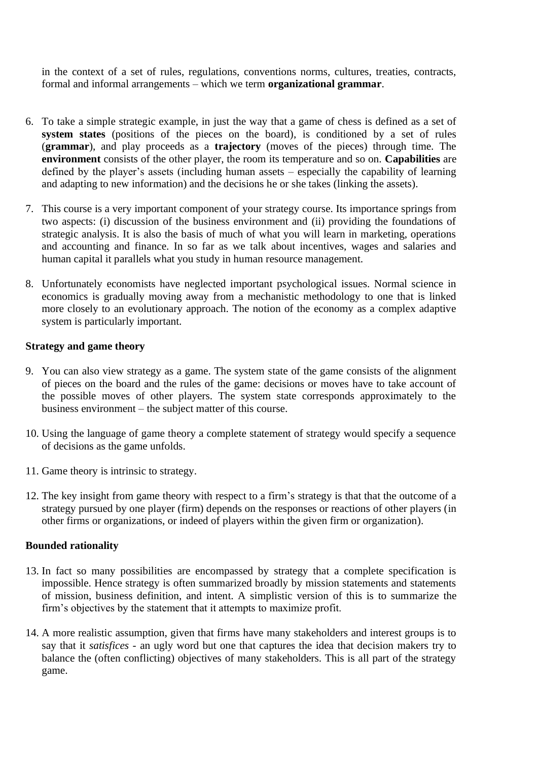in the context of a set of rules, regulations, conventions norms, cultures, treaties, contracts, formal and informal arrangements – which we term **organizational grammar**.

- 6. To take a simple strategic example, in just the way that a game of chess is defined as a set of **system states** (positions of the pieces on the board), is conditioned by a set of rules (**grammar**), and play proceeds as a **trajectory** (moves of the pieces) through time. The **environment** consists of the other player, the room its temperature and so on. **Capabilities** are defined by the player's assets (including human assets – especially the capability of learning and adapting to new information) and the decisions he or she takes (linking the assets).
- 7. This course is a very important component of your strategy course. Its importance springs from two aspects: (i) discussion of the business environment and (ii) providing the foundations of strategic analysis. It is also the basis of much of what you will learn in marketing, operations and accounting and finance. In so far as we talk about incentives, wages and salaries and human capital it parallels what you study in human resource management.
- 8. Unfortunately economists have neglected important psychological issues. Normal science in economics is gradually moving away from a mechanistic methodology to one that is linked more closely to an evolutionary approach. The notion of the economy as a complex adaptive system is particularly important.

#### **Strategy and game theory**

- 9. You can also view strategy as a game. The system state of the game consists of the alignment of pieces on the board and the rules of the game: decisions or moves have to take account of the possible moves of other players. The system state corresponds approximately to the business environment – the subject matter of this course.
- 10. Using the language of game theory a complete statement of strategy would specify a sequence of decisions as the game unfolds.
- 11. Game theory is intrinsic to strategy.
- 12. The key insight from game theory with respect to a firm's strategy is that that the outcome of a strategy pursued by one player (firm) depends on the responses or reactions of other players (in other firms or organizations, or indeed of players within the given firm or organization).

#### **Bounded rationality**

- 13. In fact so many possibilities are encompassed by strategy that a complete specification is impossible. Hence strategy is often summarized broadly by mission statements and statements of mission, business definition, and intent. A simplistic version of this is to summarize the firm's objectives by the statement that it attempts to maximize profit.
- 14. A more realistic assumption, given that firms have many stakeholders and interest groups is to say that it *satisfices -* an ugly word but one that captures the idea that decision makers try to balance the (often conflicting) objectives of many stakeholders. This is all part of the strategy game.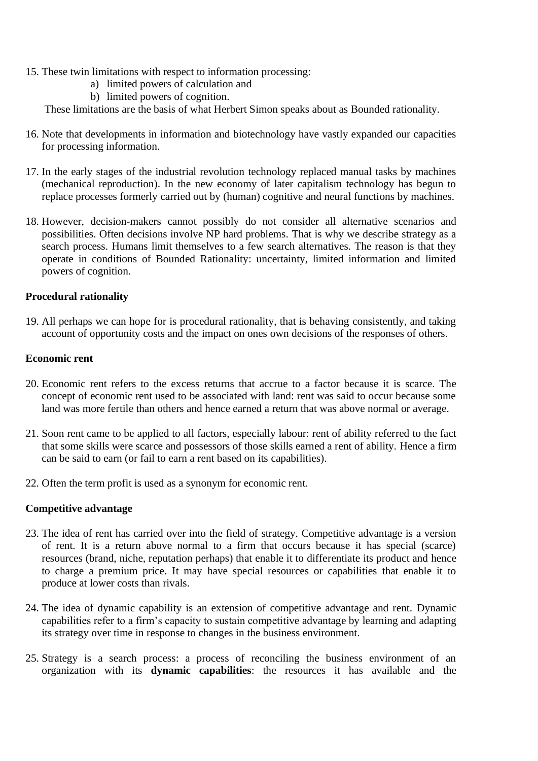- 15. These twin limitations with respect to information processing:
	- a) limited powers of calculation and
	- b) limited powers of cognition.

These limitations are the basis of what Herbert Simon speaks about as Bounded rationality.

- 16. Note that developments in information and biotechnology have vastly expanded our capacities for processing information.
- 17. In the early stages of the industrial revolution technology replaced manual tasks by machines (mechanical reproduction). In the new economy of later capitalism technology has begun to replace processes formerly carried out by (human) cognitive and neural functions by machines.
- 18. However, decision-makers cannot possibly do not consider all alternative scenarios and possibilities. Often decisions involve NP hard problems. That is why we describe strategy as a search process. Humans limit themselves to a few search alternatives. The reason is that they operate in conditions of Bounded Rationality: uncertainty, limited information and limited powers of cognition.

## **Procedural rationality**

19. All perhaps we can hope for is procedural rationality, that is behaving consistently, and taking account of opportunity costs and the impact on ones own decisions of the responses of others.

#### **Economic rent**

- 20. Economic rent refers to the excess returns that accrue to a factor because it is scarce. The concept of economic rent used to be associated with land: rent was said to occur because some land was more fertile than others and hence earned a return that was above normal or average.
- 21. Soon rent came to be applied to all factors, especially labour: rent of ability referred to the fact that some skills were scarce and possessors of those skills earned a rent of ability. Hence a firm can be said to earn (or fail to earn a rent based on its capabilities).
- 22. Often the term profit is used as a synonym for economic rent.

## **Competitive advantage**

- 23. The idea of rent has carried over into the field of strategy. Competitive advantage is a version of rent. It is a return above normal to a firm that occurs because it has special (scarce) resources (brand, niche, reputation perhaps) that enable it to differentiate its product and hence to charge a premium price. It may have special resources or capabilities that enable it to produce at lower costs than rivals.
- 24. The idea of dynamic capability is an extension of competitive advantage and rent. Dynamic capabilities refer to a firm's capacity to sustain competitive advantage by learning and adapting its strategy over time in response to changes in the business environment.
- 25. Strategy is a search process: a process of reconciling the business environment of an organization with its **dynamic capabilities**: the resources it has available and the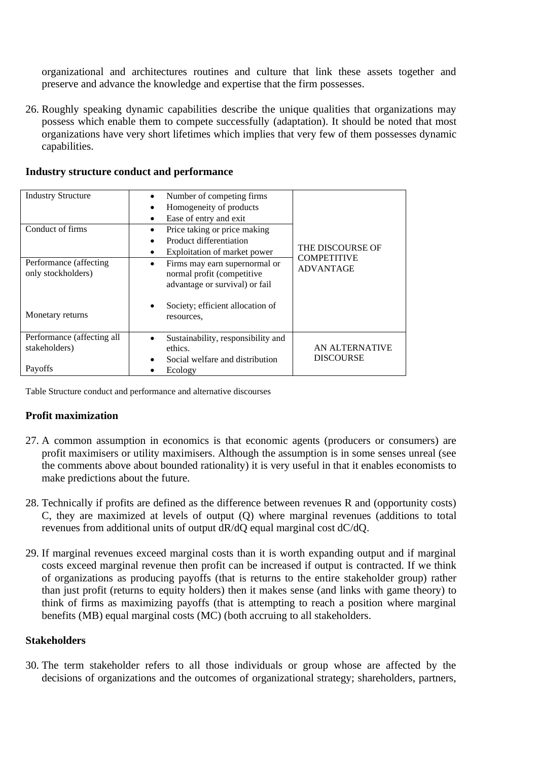organizational and architectures routines and culture that link these assets together and preserve and advance the knowledge and expertise that the firm possesses.

26. Roughly speaking dynamic capabilities describe the unique qualities that organizations may possess which enable them to compete successfully (adaptation). It should be noted that most organizations have very short lifetimes which implies that very few of them possesses dynamic capabilities.

| <b>Industry Structure</b>                     | Number of competing firms<br>$\bullet$                                                                     |                                           |  |
|-----------------------------------------------|------------------------------------------------------------------------------------------------------------|-------------------------------------------|--|
|                                               | Homogeneity of products<br>٠                                                                               |                                           |  |
|                                               | Ease of entry and exit<br>$\bullet$                                                                        |                                           |  |
| Conduct of firms                              | Price taking or price making                                                                               |                                           |  |
|                                               | Product differentiation<br>$\bullet$                                                                       | THE DISCOURSE OF                          |  |
|                                               | Exploitation of market power<br>$\bullet$                                                                  |                                           |  |
| Performance (affecting)<br>only stockholders) | Firms may earn supernormal or<br>$\bullet$<br>normal profit (competitive<br>advantage or survival) or fail | <b>COMPETITIVE</b><br><b>ADVANTAGE</b>    |  |
| Monetary returns                              | Society; efficient allocation of<br>$\bullet$<br>resources.                                                |                                           |  |
| Performance (affecting all<br>stakeholders)   | Sustainability, responsibility and<br>$\bullet$<br>ethics.                                                 | <b>AN ALTERNATIVE</b><br><b>DISCOURSE</b> |  |
| Payoffs                                       | Social welfare and distribution<br>$\bullet$<br>Ecology                                                    |                                           |  |

**Industry structure conduct and performance**

Table Structure conduct and performance and alternative discourses

## **Profit maximization**

- 27. A common assumption in economics is that economic agents (producers or consumers) are profit maximisers or utility maximisers. Although the assumption is in some senses unreal (see the comments above about bounded rationality) it is very useful in that it enables economists to make predictions about the future.
- 28. Technically if profits are defined as the difference between revenues R and (opportunity costs) C, they are maximized at levels of output (Q) where marginal revenues (additions to total revenues from additional units of output dR/dQ equal marginal cost dC/dQ.
- 29. If marginal revenues exceed marginal costs than it is worth expanding output and if marginal costs exceed marginal revenue then profit can be increased if output is contracted. If we think of organizations as producing payoffs (that is returns to the entire stakeholder group) rather than just profit (returns to equity holders) then it makes sense (and links with game theory) to think of firms as maximizing payoffs (that is attempting to reach a position where marginal benefits (MB) equal marginal costs (MC) (both accruing to all stakeholders.

## **Stakeholders**

30. The term stakeholder refers to all those individuals or group whose are affected by the decisions of organizations and the outcomes of organizational strategy; shareholders, partners,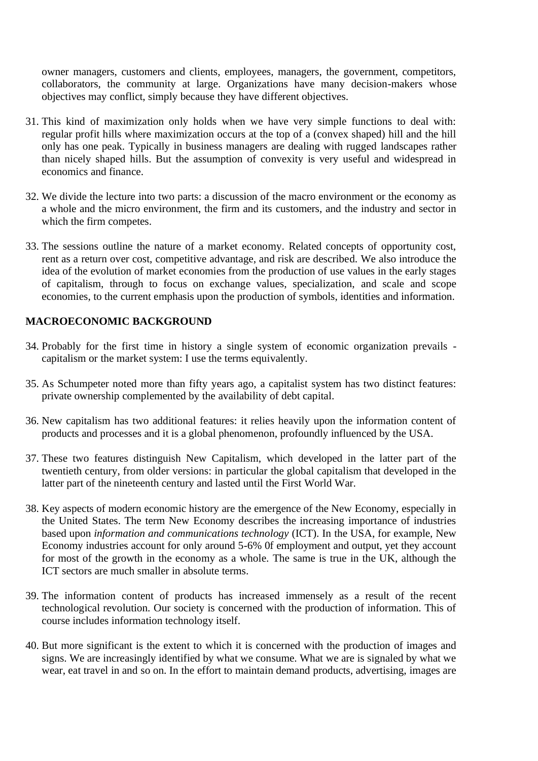owner managers, customers and clients, employees, managers, the government, competitors, collaborators, the community at large. Organizations have many decision-makers whose objectives may conflict, simply because they have different objectives.

- 31. This kind of maximization only holds when we have very simple functions to deal with: regular profit hills where maximization occurs at the top of a (convex shaped) hill and the hill only has one peak. Typically in business managers are dealing with rugged landscapes rather than nicely shaped hills. But the assumption of convexity is very useful and widespread in economics and finance.
- 32. We divide the lecture into two parts: a discussion of the macro environment or the economy as a whole and the micro environment, the firm and its customers, and the industry and sector in which the firm competes.
- 33. The sessions outline the nature of a market economy. Related concepts of opportunity cost, rent as a return over cost, competitive advantage, and risk are described. We also introduce the idea of the evolution of market economies from the production of use values in the early stages of capitalism, through to focus on exchange values, specialization, and scale and scope economies, to the current emphasis upon the production of symbols, identities and information.

#### **MACROECONOMIC BACKGROUND**

- 34. Probably for the first time in history a single system of economic organization prevails capitalism or the market system: I use the terms equivalently.
- 35. As Schumpeter noted more than fifty years ago, a capitalist system has two distinct features: private ownership complemented by the availability of debt capital.
- 36. New capitalism has two additional features: it relies heavily upon the information content of products and processes and it is a global phenomenon, profoundly influenced by the USA.
- 37. These two features distinguish New Capitalism, which developed in the latter part of the twentieth century, from older versions: in particular the global capitalism that developed in the latter part of the nineteenth century and lasted until the First World War.
- 38. Key aspects of modern economic history are the emergence of the New Economy, especially in the United States. The term New Economy describes the increasing importance of industries based upon *information and communications technology* (ICT). In the USA, for example, New Economy industries account for only around 5-6% 0f employment and output, yet they account for most of the growth in the economy as a whole. The same is true in the UK, although the ICT sectors are much smaller in absolute terms.
- 39. The information content of products has increased immensely as a result of the recent technological revolution. Our society is concerned with the production of information. This of course includes information technology itself.
- 40. But more significant is the extent to which it is concerned with the production of images and signs. We are increasingly identified by what we consume. What we are is signaled by what we wear, eat travel in and so on. In the effort to maintain demand products, advertising, images are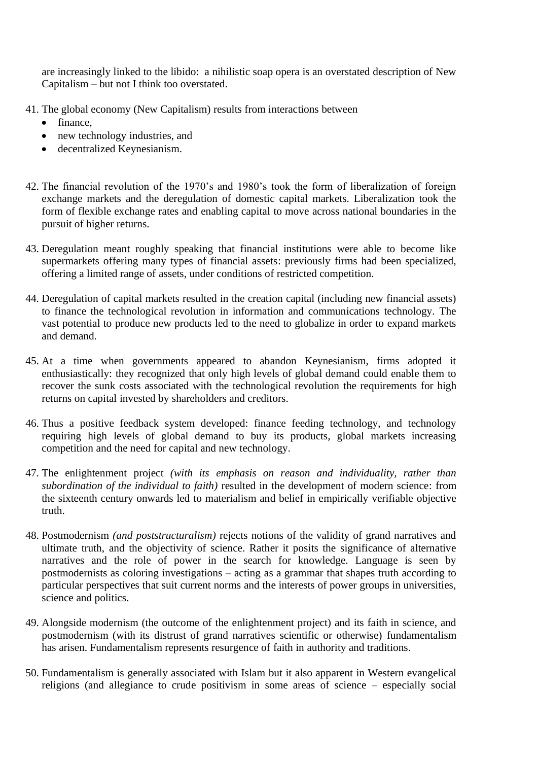are increasingly linked to the libido: a nihilistic soap opera is an overstated description of New Capitalism – but not I think too overstated.

- 41. The global economy (New Capitalism) results from interactions between
	- finance,
	- new technology industries, and
	- decentralized Keynesianism.
- 42. The financial revolution of the 1970's and 1980's took the form of liberalization of foreign exchange markets and the deregulation of domestic capital markets. Liberalization took the form of flexible exchange rates and enabling capital to move across national boundaries in the pursuit of higher returns.
- 43. Deregulation meant roughly speaking that financial institutions were able to become like supermarkets offering many types of financial assets: previously firms had been specialized, offering a limited range of assets, under conditions of restricted competition.
- 44. Deregulation of capital markets resulted in the creation capital (including new financial assets) to finance the technological revolution in information and communications technology. The vast potential to produce new products led to the need to globalize in order to expand markets and demand.
- 45. At a time when governments appeared to abandon Keynesianism, firms adopted it enthusiastically: they recognized that only high levels of global demand could enable them to recover the sunk costs associated with the technological revolution the requirements for high returns on capital invested by shareholders and creditors.
- 46. Thus a positive feedback system developed: finance feeding technology, and technology requiring high levels of global demand to buy its products, global markets increasing competition and the need for capital and new technology.
- 47. The enlightenment project *(with its emphasis on reason and individuality, rather than subordination of the individual to faith)* resulted in the development of modern science: from the sixteenth century onwards led to materialism and belief in empirically verifiable objective truth.
- 48. Postmodernism *(and poststructuralism)* rejects notions of the validity of grand narratives and ultimate truth, and the objectivity of science. Rather it posits the significance of alternative narratives and the role of power in the search for knowledge. Language is seen by postmodernists as coloring investigations – acting as a grammar that shapes truth according to particular perspectives that suit current norms and the interests of power groups in universities, science and politics.
- 49. Alongside modernism (the outcome of the enlightenment project) and its faith in science, and postmodernism (with its distrust of grand narratives scientific or otherwise) fundamentalism has arisen. Fundamentalism represents resurgence of faith in authority and traditions.
- 50. Fundamentalism is generally associated with Islam but it also apparent in Western evangelical religions (and allegiance to crude positivism in some areas of science – especially social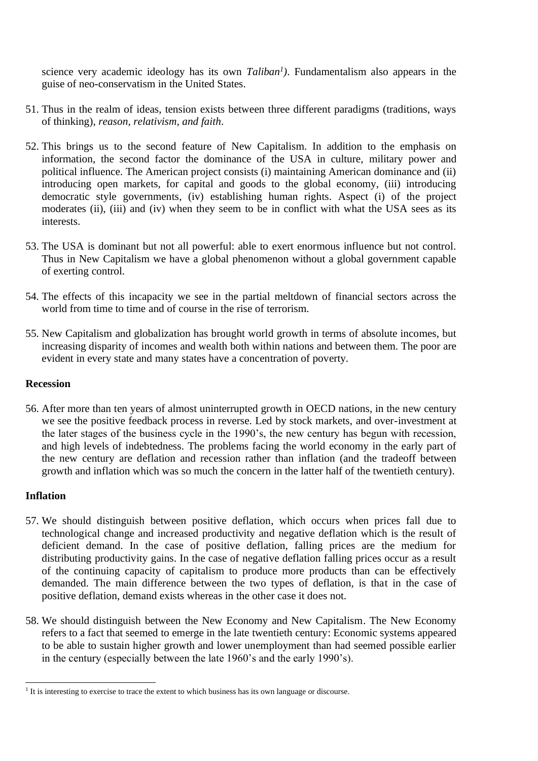science very academic ideology has its own *Taliban<sup>1</sup> )*. Fundamentalism also appears in the guise of neo-conservatism in the United States.

- 51. Thus in the realm of ideas, tension exists between three different paradigms (traditions, ways of thinking), *reason, relativism, and faith*.
- 52. This brings us to the second feature of New Capitalism. In addition to the emphasis on information, the second factor the dominance of the USA in culture, military power and political influence. The American project consists (i) maintaining American dominance and (ii) introducing open markets, for capital and goods to the global economy, (iii) introducing democratic style governments, (iv) establishing human rights. Aspect (i) of the project moderates (ii), (iii) and (iv) when they seem to be in conflict with what the USA sees as its interests.
- 53. The USA is dominant but not all powerful: able to exert enormous influence but not control. Thus in New Capitalism we have a global phenomenon without a global government capable of exerting control.
- 54. The effects of this incapacity we see in the partial meltdown of financial sectors across the world from time to time and of course in the rise of terrorism.
- 55. New Capitalism and globalization has brought world growth in terms of absolute incomes, but increasing disparity of incomes and wealth both within nations and between them. The poor are evident in every state and many states have a concentration of poverty.

#### **Recession**

56. After more than ten years of almost uninterrupted growth in OECD nations, in the new century we see the positive feedback process in reverse. Led by stock markets, and over-investment at the later stages of the business cycle in the 1990's, the new century has begun with recession, and high levels of indebtedness. The problems facing the world economy in the early part of the new century are deflation and recession rather than inflation (and the tradeoff between growth and inflation which was so much the concern in the latter half of the twentieth century).

#### **Inflation**

- 57. We should distinguish between positive deflation, which occurs when prices fall due to technological change and increased productivity and negative deflation which is the result of deficient demand. In the case of positive deflation, falling prices are the medium for distributing productivity gains. In the case of negative deflation falling prices occur as a result of the continuing capacity of capitalism to produce more products than can be effectively demanded. The main difference between the two types of deflation, is that in the case of positive deflation, demand exists whereas in the other case it does not.
- 58. We should distinguish between the New Economy and New Capitalism. The New Economy refers to a fact that seemed to emerge in the late twentieth century: Economic systems appeared to be able to sustain higher growth and lower unemployment than had seemed possible earlier in the century (especially between the late 1960's and the early 1990's).

<sup>&</sup>lt;sup>1</sup> It is interesting to exercise to trace the extent to which business has its own language or discourse.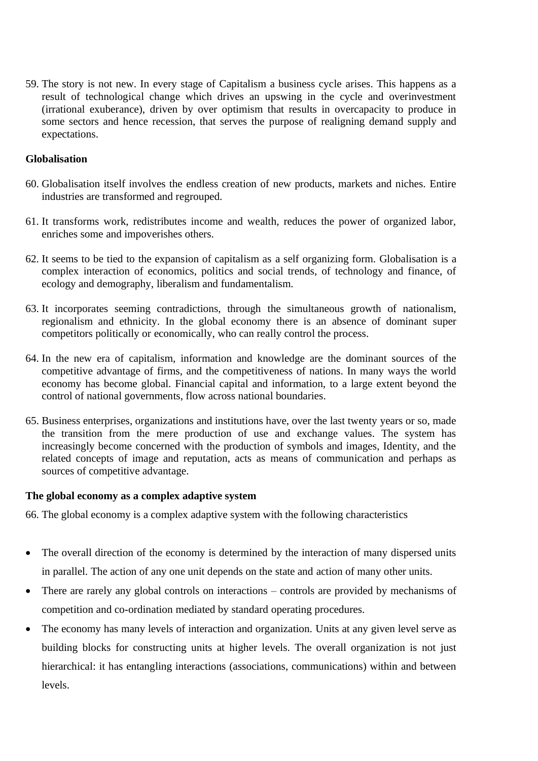59. The story is not new. In every stage of Capitalism a business cycle arises. This happens as a result of technological change which drives an upswing in the cycle and overinvestment (irrational exuberance), driven by over optimism that results in overcapacity to produce in some sectors and hence recession, that serves the purpose of realigning demand supply and expectations.

## **Globalisation**

- 60. Globalisation itself involves the endless creation of new products, markets and niches. Entire industries are transformed and regrouped.
- 61. It transforms work, redistributes income and wealth, reduces the power of organized labor, enriches some and impoverishes others.
- 62. It seems to be tied to the expansion of capitalism as a self organizing form. Globalisation is a complex interaction of economics, politics and social trends, of technology and finance, of ecology and demography, liberalism and fundamentalism.
- 63. It incorporates seeming contradictions, through the simultaneous growth of nationalism, regionalism and ethnicity. In the global economy there is an absence of dominant super competitors politically or economically, who can really control the process.
- 64. In the new era of capitalism, information and knowledge are the dominant sources of the competitive advantage of firms, and the competitiveness of nations. In many ways the world economy has become global. Financial capital and information, to a large extent beyond the control of national governments, flow across national boundaries.
- 65. Business enterprises, organizations and institutions have, over the last twenty years or so, made the transition from the mere production of use and exchange values. The system has increasingly become concerned with the production of symbols and images, Identity, and the related concepts of image and reputation, acts as means of communication and perhaps as sources of competitive advantage.

#### **The global economy as a complex adaptive system**

66. The global economy is a complex adaptive system with the following characteristics

- The overall direction of the economy is determined by the interaction of many dispersed units in parallel. The action of any one unit depends on the state and action of many other units.
- There are rarely any global controls on interactions controls are provided by mechanisms of competition and co-ordination mediated by standard operating procedures.
- The economy has many levels of interaction and organization. Units at any given level serve as building blocks for constructing units at higher levels. The overall organization is not just hierarchical: it has entangling interactions (associations, communications) within and between levels.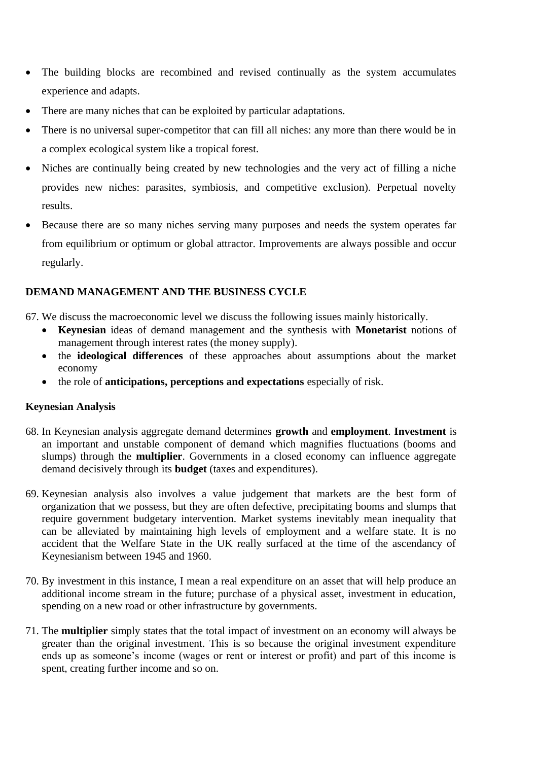- The building blocks are recombined and revised continually as the system accumulates experience and adapts.
- There are many niches that can be exploited by particular adaptations.
- There is no universal super-competitor that can fill all niches: any more than there would be in a complex ecological system like a tropical forest.
- Niches are continually being created by new technologies and the very act of filling a niche provides new niches: parasites, symbiosis, and competitive exclusion). Perpetual novelty results.
- Because there are so many niches serving many purposes and needs the system operates far from equilibrium or optimum or global attractor. Improvements are always possible and occur regularly.

## **DEMAND MANAGEMENT AND THE BUSINESS CYCLE**

67. We discuss the macroeconomic level we discuss the following issues mainly historically.

- **Keynesian** ideas of demand management and the synthesis with **Monetarist** notions of management through interest rates (the money supply).
- the **ideological differences** of these approaches about assumptions about the market economy
- the role of **anticipations, perceptions and expectations** especially of risk.

## **Keynesian Analysis**

- 68. In Keynesian analysis aggregate demand determines **growth** and **employment**. **Investment** is an important and unstable component of demand which magnifies fluctuations (booms and slumps) through the **multiplier**. Governments in a closed economy can influence aggregate demand decisively through its **budget** (taxes and expenditures).
- 69. Keynesian analysis also involves a value judgement that markets are the best form of organization that we possess, but they are often defective, precipitating booms and slumps that require government budgetary intervention. Market systems inevitably mean inequality that can be alleviated by maintaining high levels of employment and a welfare state. It is no accident that the Welfare State in the UK really surfaced at the time of the ascendancy of Keynesianism between 1945 and 1960.
- 70. By investment in this instance, I mean a real expenditure on an asset that will help produce an additional income stream in the future; purchase of a physical asset, investment in education, spending on a new road or other infrastructure by governments.
- 71. The **multiplier** simply states that the total impact of investment on an economy will always be greater than the original investment. This is so because the original investment expenditure ends up as someone's income (wages or rent or interest or profit) and part of this income is spent, creating further income and so on.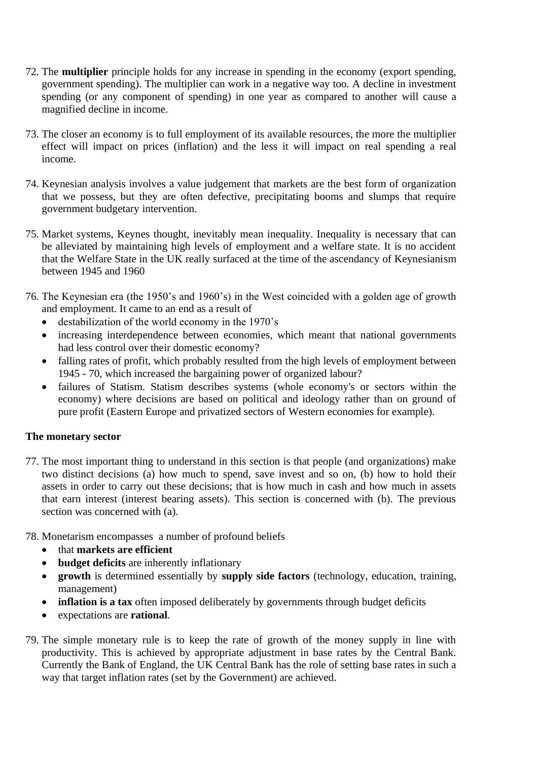- 72. The **multiplier** principle holds for any increase in spending in the economy (export spending, government spending). The multiplier can work in a negative way too. A decline in investment spending (or any component of spending) in one year as compared to another will cause a magnified decline in income.
- 73. The closer an economy is to full employment of its available resources, the more the multiplier effect will impact on prices (inflation) and the less it will impact on real spending a real income.
- 74. Keynesian analysis involves a value judgement that markets are the best form of organization that we possess, but they are often defective, precipitating booms and slumps that require government budgetary intervention.
- 75. Market systems, Keynes thought, inevitably mean inequality. Inequality is necessary that can be alleviated by maintaining high levels of employment and a welfare state. It is no accident that the Welfare State in the UK really surfaced at the time of the ascendancy of Keynesianism between 1945 and 1960
- 76. The Keynesian era (the 1950's and 1960's) in the West coincided with a golden age of growth and employment. It came to an end as a result of
	- destabilization of the world economy in the 1970's
	- increasing interdependence between economies, which meant that national governments had less control over their domestic economy?
	- falling rates of profit, which probably resulted from the high levels of employment between 1945 - 70, which increased the bargaining power of organized labour?
	- failures of Statism. Statism describes systems (whole economy's or sectors within the economy) where decisions are based on political and ideology rather than on ground of pure profit (Eastern Europe and privatized sectors of Western economies for example).

## **The monetary sector**

- 77. The most important thing to understand in this section is that people (and organizations) make two distinct decisions (a) how much to spend, save invest and so on, (b) how to hold their assets in order to carry out these decisions; that is how much in cash and how much in assets that earn interest (interest bearing assets). This section is concerned with (b). The previous section was concerned with (a).
- 78. Monetarism encompasses a number of profound beliefs
	- that **markets are efficient**
	- **budget deficits** are inherently inflationary
	- **growth** is determined essentially by **supply side factors** (technology, education, training, management)
	- **inflation is a tax** often imposed deliberately by governments through budget deficits
	- expectations are **rational**.
- 79. The simple monetary rule is to keep the rate of growth of the money supply in line with productivity. This is achieved by appropriate adjustment in base rates by the Central Bank. Currently the Bank of England, the UK Central Bank has the role of setting base rates in such a way that target inflation rates (set by the Government) are achieved.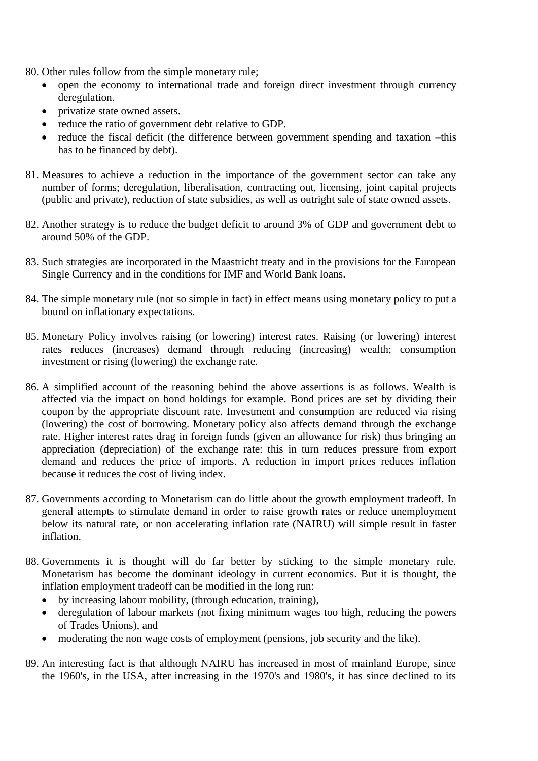80. Other rules follow from the simple monetary rule;

- open the economy to international trade and foreign direct investment through currency deregulation.
- privatize state owned assets.
- reduce the ratio of government debt relative to GDP.
- reduce the fiscal deficit (the difference between government spending and taxation –this has to be financed by debt).
- 81. Measures to achieve a reduction in the importance of the government sector can take any number of forms; deregulation, liberalisation, contracting out, licensing, joint capital projects (public and private), reduction of state subsidies, as well as outright sale of state owned assets.
- 82. Another strategy is to reduce the budget deficit to around 3% of GDP and government debt to around 50% of the GDP.
- 83. Such strategies are incorporated in the Maastricht treaty and in the provisions for the European Single Currency and in the conditions for IMF and World Bank loans.
- 84. The simple monetary rule (not so simple in fact) in effect means using monetary policy to put a bound on inflationary expectations.
- 85. Monetary Policy involves raising (or lowering) interest rates. Raising (or lowering) interest rates reduces (increases) demand through reducing (increasing) wealth; consumption investment or rising (lowering) the exchange rate.
- 86. A simplified account of the reasoning behind the above assertions is as follows. Wealth is affected via the impact on bond holdings for example. Bond prices are set by dividing their coupon by the appropriate discount rate. Investment and consumption are reduced via rising (lowering) the cost of borrowing. Monetary policy also affects demand through the exchange rate. Higher interest rates drag in foreign funds (given an allowance for risk) thus bringing an appreciation (depreciation) of the exchange rate: this in turn reduces pressure from export demand and reduces the price of imports. A reduction in import prices reduces inflation because it reduces the cost of living index.
- 87. Governments according to Monetarism can do little about the growth employment tradeoff. In general attempts to stimulate demand in order to raise growth rates or reduce unemployment below its natural rate, or non accelerating inflation rate (NAIRU) will simple result in faster inflation.
- 88. Governments it is thought will do far better by sticking to the simple monetary rule. Monetarism has become the dominant ideology in current economics. But it is thought, the inflation employment tradeoff can be modified in the long run:
	- by increasing labour mobility, (through education, training),
	- deregulation of labour markets (not fixing minimum wages too high, reducing the powers of Trades Unions), and
	- moderating the non wage costs of employment (pensions, job security and the like).
- 89. An interesting fact is that although NAIRU has increased in most of mainland Europe, since the 1960's, in the USA, after increasing in the 1970's and 1980's, it has since declined to its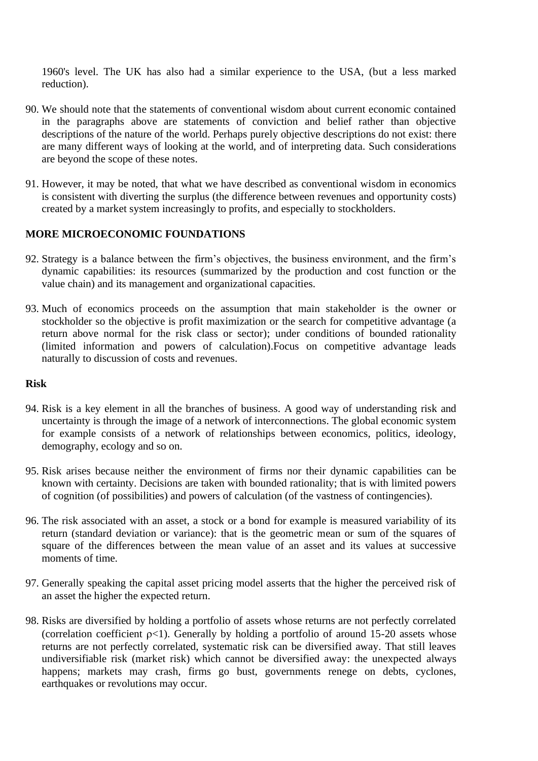1960's level. The UK has also had a similar experience to the USA, (but a less marked reduction).

- 90. We should note that the statements of conventional wisdom about current economic contained in the paragraphs above are statements of conviction and belief rather than objective descriptions of the nature of the world. Perhaps purely objective descriptions do not exist: there are many different ways of looking at the world, and of interpreting data. Such considerations are beyond the scope of these notes.
- 91. However, it may be noted, that what we have described as conventional wisdom in economics is consistent with diverting the surplus (the difference between revenues and opportunity costs) created by a market system increasingly to profits, and especially to stockholders.

## **MORE MICROECONOMIC FOUNDATIONS**

- 92. Strategy is a balance between the firm's objectives, the business environment, and the firm's dynamic capabilities: its resources (summarized by the production and cost function or the value chain) and its management and organizational capacities.
- 93. Much of economics proceeds on the assumption that main stakeholder is the owner or stockholder so the objective is profit maximization or the search for competitive advantage (a return above normal for the risk class or sector); under conditions of bounded rationality (limited information and powers of calculation).Focus on competitive advantage leads naturally to discussion of costs and revenues.

#### **Risk**

- 94. Risk is a key element in all the branches of business. A good way of understanding risk and uncertainty is through the image of a network of interconnections. The global economic system for example consists of a network of relationships between economics, politics, ideology, demography, ecology and so on.
- 95. Risk arises because neither the environment of firms nor their dynamic capabilities can be known with certainty. Decisions are taken with bounded rationality; that is with limited powers of cognition (of possibilities) and powers of calculation (of the vastness of contingencies).
- 96. The risk associated with an asset, a stock or a bond for example is measured variability of its return (standard deviation or variance): that is the geometric mean or sum of the squares of square of the differences between the mean value of an asset and its values at successive moments of time.
- 97. Generally speaking the capital asset pricing model asserts that the higher the perceived risk of an asset the higher the expected return.
- 98. Risks are diversified by holding a portfolio of assets whose returns are not perfectly correlated (correlation coefficient  $p<1$ ). Generally by holding a portfolio of around 15-20 assets whose returns are not perfectly correlated, systematic risk can be diversified away. That still leaves undiversifiable risk (market risk) which cannot be diversified away: the unexpected always happens; markets may crash, firms go bust, governments renege on debts, cyclones, earthquakes or revolutions may occur.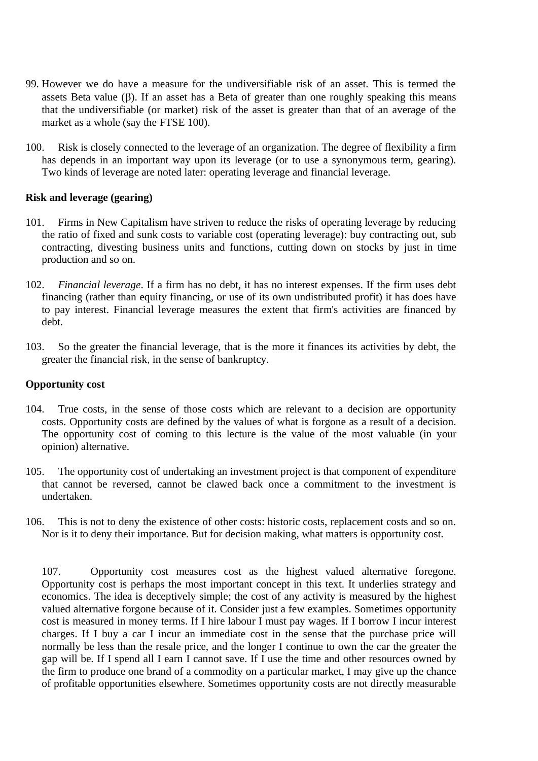- 99. However we do have a measure for the undiversifiable risk of an asset. This is termed the assets Beta value  $(\beta)$ . If an asset has a Beta of greater than one roughly speaking this means that the undiversifiable (or market) risk of the asset is greater than that of an average of the market as a whole (say the FTSE 100).
- 100. Risk is closely connected to the leverage of an organization. The degree of flexibility a firm has depends in an important way upon its leverage (or to use a synonymous term, gearing). Two kinds of leverage are noted later: operating leverage and financial leverage.

#### **Risk and leverage (gearing)**

- 101. Firms in New Capitalism have striven to reduce the risks of operating leverage by reducing the ratio of fixed and sunk costs to variable cost (operating leverage): buy contracting out, sub contracting, divesting business units and functions, cutting down on stocks by just in time production and so on.
- 102. *Financial leverage*. If a firm has no debt, it has no interest expenses. If the firm uses debt financing (rather than equity financing, or use of its own undistributed profit) it has does have to pay interest. Financial leverage measures the extent that firm's activities are financed by debt.
- 103. So the greater the financial leverage, that is the more it finances its activities by debt, the greater the financial risk, in the sense of bankruptcy.

#### **Opportunity cost**

- 104. True costs, in the sense of those costs which are relevant to a decision are opportunity costs. Opportunity costs are defined by the values of what is forgone as a result of a decision. The opportunity cost of coming to this lecture is the value of the most valuable (in your opinion) alternative.
- 105. The opportunity cost of undertaking an investment project is that component of expenditure that cannot be reversed, cannot be clawed back once a commitment to the investment is undertaken.
- 106. This is not to deny the existence of other costs: historic costs, replacement costs and so on. Nor is it to deny their importance. But for decision making, what matters is opportunity cost.

107. Opportunity cost measures cost as the highest valued alternative foregone. Opportunity cost is perhaps the most important concept in this text. It underlies strategy and economics. The idea is deceptively simple; the cost of any activity is measured by the highest valued alternative forgone because of it. Consider just a few examples. Sometimes opportunity cost is measured in money terms. If I hire labour I must pay wages. If I borrow I incur interest charges. If I buy a car I incur an immediate cost in the sense that the purchase price will normally be less than the resale price, and the longer I continue to own the car the greater the gap will be. If I spend all I earn I cannot save. If I use the time and other resources owned by the firm to produce one brand of a commodity on a particular market, I may give up the chance of profitable opportunities elsewhere. Sometimes opportunity costs are not directly measurable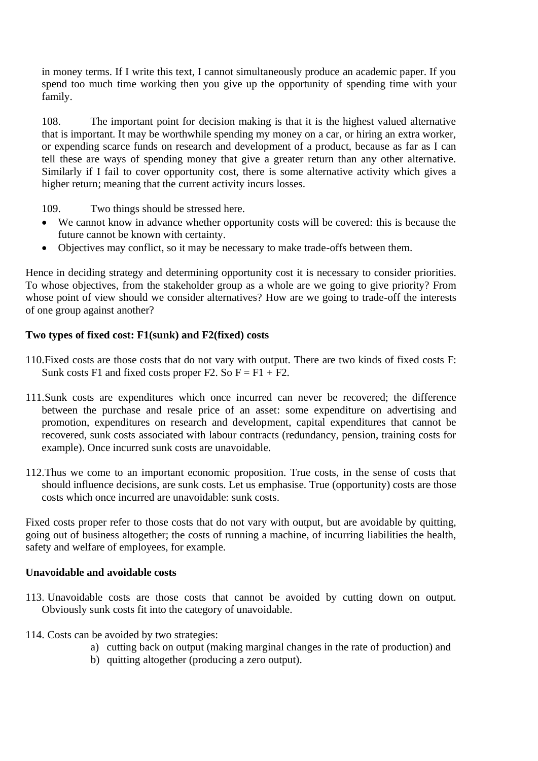in money terms. If I write this text, I cannot simultaneously produce an academic paper. If you spend too much time working then you give up the opportunity of spending time with your family.

108. The important point for decision making is that it is the highest valued alternative that is important. It may be worthwhile spending my money on a car, or hiring an extra worker, or expending scarce funds on research and development of a product, because as far as I can tell these are ways of spending money that give a greater return than any other alternative. Similarly if I fail to cover opportunity cost, there is some alternative activity which gives a higher return; meaning that the current activity incurs losses.

109. Two things should be stressed here.

- We cannot know in advance whether opportunity costs will be covered: this is because the future cannot be known with certainty.
- Objectives may conflict, so it may be necessary to make trade-offs between them.

Hence in deciding strategy and determining opportunity cost it is necessary to consider priorities. To whose objectives, from the stakeholder group as a whole are we going to give priority? From whose point of view should we consider alternatives? How are we going to trade-off the interests of one group against another?

## **Two types of fixed cost: F1(sunk) and F2(fixed) costs**

- 110.Fixed costs are those costs that do not vary with output. There are two kinds of fixed costs F: Sunk costs F1 and fixed costs proper F2. So  $F = F1 + F2$ .
- 111.Sunk costs are expenditures which once incurred can never be recovered; the difference between the purchase and resale price of an asset: some expenditure on advertising and promotion, expenditures on research and development, capital expenditures that cannot be recovered, sunk costs associated with labour contracts (redundancy, pension, training costs for example). Once incurred sunk costs are unavoidable.
- 112.Thus we come to an important economic proposition. True costs, in the sense of costs that should influence decisions, are sunk costs. Let us emphasise. True (opportunity) costs are those costs which once incurred are unavoidable: sunk costs.

Fixed costs proper refer to those costs that do not vary with output, but are avoidable by quitting, going out of business altogether; the costs of running a machine, of incurring liabilities the health, safety and welfare of employees, for example.

#### **Unavoidable and avoidable costs**

- 113. Unavoidable costs are those costs that cannot be avoided by cutting down on output. Obviously sunk costs fit into the category of unavoidable.
- 114. Costs can be avoided by two strategies:
	- a) cutting back on output (making marginal changes in the rate of production) and
	- b) quitting altogether (producing a zero output).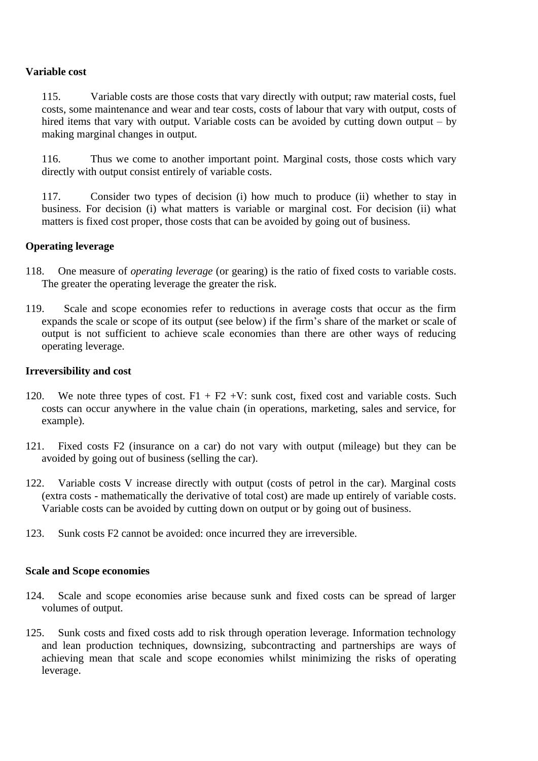#### **Variable cost**

115. Variable costs are those costs that vary directly with output; raw material costs, fuel costs, some maintenance and wear and tear costs, costs of labour that vary with output, costs of hired items that vary with output. Variable costs can be avoided by cutting down output – by making marginal changes in output.

116. Thus we come to another important point. Marginal costs, those costs which vary directly with output consist entirely of variable costs.

117. Consider two types of decision (i) how much to produce (ii) whether to stay in business. For decision (i) what matters is variable or marginal cost. For decision (ii) what matters is fixed cost proper, those costs that can be avoided by going out of business.

#### **Operating leverage**

- 118. One measure of *operating leverage* (or gearing) is the ratio of fixed costs to variable costs. The greater the operating leverage the greater the risk.
- 119. Scale and scope economies refer to reductions in average costs that occur as the firm expands the scale or scope of its output (see below) if the firm's share of the market or scale of output is not sufficient to achieve scale economies than there are other ways of reducing operating leverage.

#### **Irreversibility and cost**

- 120. We note three types of cost.  $F1 + F2 + V$ : sunk cost, fixed cost and variable costs. Such costs can occur anywhere in the value chain (in operations, marketing, sales and service, for example).
- 121. Fixed costs F2 (insurance on a car) do not vary with output (mileage) but they can be avoided by going out of business (selling the car).
- 122. Variable costs V increase directly with output (costs of petrol in the car). Marginal costs (extra costs - mathematically the derivative of total cost) are made up entirely of variable costs. Variable costs can be avoided by cutting down on output or by going out of business.
- 123. Sunk costs F2 cannot be avoided: once incurred they are irreversible.

#### **Scale and Scope economies**

- 124. Scale and scope economies arise because sunk and fixed costs can be spread of larger volumes of output.
- 125. Sunk costs and fixed costs add to risk through operation leverage. Information technology and lean production techniques, downsizing, subcontracting and partnerships are ways of achieving mean that scale and scope economies whilst minimizing the risks of operating leverage.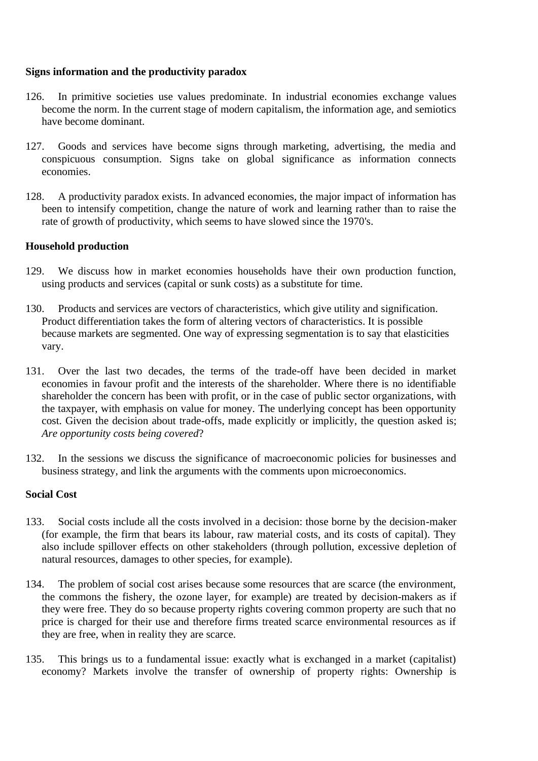#### **Signs information and the productivity paradox**

- 126. In primitive societies use values predominate. In industrial economies exchange values become the norm. In the current stage of modern capitalism, the information age, and semiotics have become dominant.
- 127. Goods and services have become signs through marketing, advertising, the media and conspicuous consumption. Signs take on global significance as information connects economies.
- 128. A productivity paradox exists. In advanced economies, the major impact of information has been to intensify competition, change the nature of work and learning rather than to raise the rate of growth of productivity, which seems to have slowed since the 1970's.

#### **Household production**

- 129. We discuss how in market economies households have their own production function, using products and services (capital or sunk costs) as a substitute for time.
- 130. Products and services are vectors of characteristics, which give utility and signification. Product differentiation takes the form of altering vectors of characteristics. It is possible because markets are segmented. One way of expressing segmentation is to say that elasticities vary.
- 131. Over the last two decades, the terms of the trade-off have been decided in market economies in favour profit and the interests of the shareholder. Where there is no identifiable shareholder the concern has been with profit, or in the case of public sector organizations, with the taxpayer, with emphasis on value for money. The underlying concept has been opportunity cost. Given the decision about trade-offs, made explicitly or implicitly, the question asked is: *Are opportunity costs being covered*?
- 132. In the sessions we discuss the significance of macroeconomic policies for businesses and business strategy, and link the arguments with the comments upon microeconomics.

#### **Social Cost**

- 133. Social costs include all the costs involved in a decision: those borne by the decision-maker (for example, the firm that bears its labour, raw material costs, and its costs of capital). They also include spillover effects on other stakeholders (through pollution, excessive depletion of natural resources, damages to other species, for example).
- 134. The problem of social cost arises because some resources that are scarce (the environment, the commons the fishery, the ozone layer, for example) are treated by decision-makers as if they were free. They do so because property rights covering common property are such that no price is charged for their use and therefore firms treated scarce environmental resources as if they are free, when in reality they are scarce.
- 135. This brings us to a fundamental issue: exactly what is exchanged in a market (capitalist) economy? Markets involve the transfer of ownership of property rights: Ownership is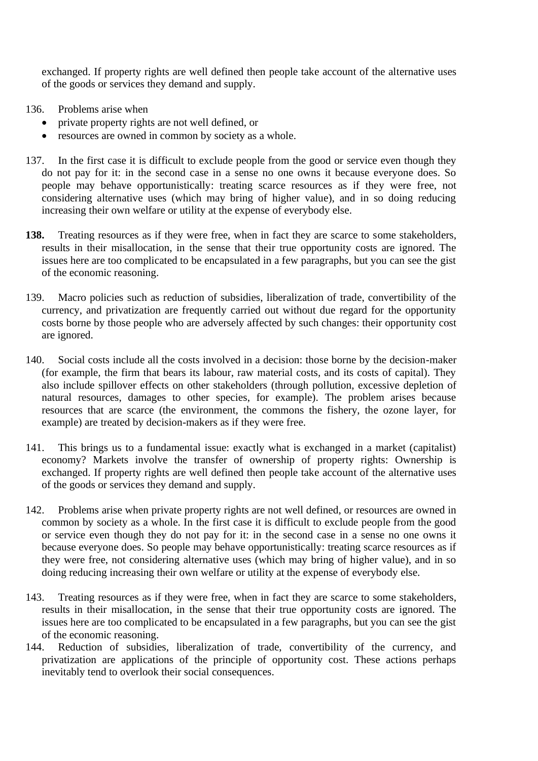exchanged. If property rights are well defined then people take account of the alternative uses of the goods or services they demand and supply.

- 136. Problems arise when
	- private property rights are not well defined, or
	- resources are owned in common by society as a whole.
- 137. In the first case it is difficult to exclude people from the good or service even though they do not pay for it: in the second case in a sense no one owns it because everyone does. So people may behave opportunistically: treating scarce resources as if they were free, not considering alternative uses (which may bring of higher value), and in so doing reducing increasing their own welfare or utility at the expense of everybody else.
- **138.** Treating resources as if they were free, when in fact they are scarce to some stakeholders, results in their misallocation, in the sense that their true opportunity costs are ignored. The issues here are too complicated to be encapsulated in a few paragraphs, but you can see the gist of the economic reasoning.
- 139. Macro policies such as reduction of subsidies, liberalization of trade, convertibility of the currency, and privatization are frequently carried out without due regard for the opportunity costs borne by those people who are adversely affected by such changes: their opportunity cost are ignored.
- 140. Social costs include all the costs involved in a decision: those borne by the decision-maker (for example, the firm that bears its labour, raw material costs, and its costs of capital). They also include spillover effects on other stakeholders (through pollution, excessive depletion of natural resources, damages to other species, for example). The problem arises because resources that are scarce (the environment, the commons the fishery, the ozone layer, for example) are treated by decision-makers as if they were free.
- 141. This brings us to a fundamental issue: exactly what is exchanged in a market (capitalist) economy? Markets involve the transfer of ownership of property rights: Ownership is exchanged. If property rights are well defined then people take account of the alternative uses of the goods or services they demand and supply.
- 142. Problems arise when private property rights are not well defined, or resources are owned in common by society as a whole. In the first case it is difficult to exclude people from the good or service even though they do not pay for it: in the second case in a sense no one owns it because everyone does. So people may behave opportunistically: treating scarce resources as if they were free, not considering alternative uses (which may bring of higher value), and in so doing reducing increasing their own welfare or utility at the expense of everybody else.
- 143. Treating resources as if they were free, when in fact they are scarce to some stakeholders, results in their misallocation, in the sense that their true opportunity costs are ignored. The issues here are too complicated to be encapsulated in a few paragraphs, but you can see the gist of the economic reasoning.
- 144. Reduction of subsidies, liberalization of trade, convertibility of the currency, and privatization are applications of the principle of opportunity cost. These actions perhaps inevitably tend to overlook their social consequences.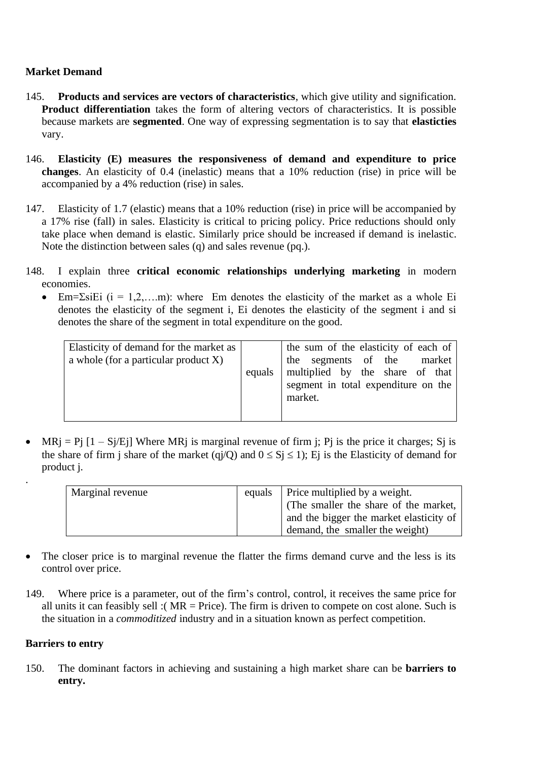## **Market Demand**

- 145. **Products and services are vectors of characteristics**, which give utility and signification. **Product differentiation** takes the form of altering vectors of characteristics. It is possible because markets are **segmented**. One way of expressing segmentation is to say that **elasticties** vary.
- 146. **Elasticity (E) measures the responsiveness of demand and expenditure to price changes**. An elasticity of 0.4 (inelastic) means that a 10% reduction (rise) in price will be accompanied by a 4% reduction (rise) in sales.
- 147. Elasticity of 1.7 (elastic) means that a 10% reduction (rise) in price will be accompanied by a 17% rise (fall) in sales. Elasticity is critical to pricing policy. Price reductions should only take place when demand is elastic. Similarly price should be increased if demand is inelastic. Note the distinction between sales (q) and sales revenue (pq.).
- 148. I explain three **critical economic relationships underlying marketing** in modern economies.
	- Em= $\Sigma$ siEi (i = 1,2,...m): where Em denotes the elasticity of the market as a whole Ei denotes the elasticity of the segment i, Ei denotes the elasticity of the segment i and si denotes the share of the segment in total expenditure on the good.

| Elasticity of demand for the market as  <br>a whole (for a particular product $X$ )<br>equals |  | the sum of the elasticity of each of<br>the segments of the market<br>multiplied by the share of that<br>segment in total expenditure on the |
|-----------------------------------------------------------------------------------------------|--|----------------------------------------------------------------------------------------------------------------------------------------------|
|                                                                                               |  | market.                                                                                                                                      |

• MRj = Pj  $[1 - Sj/Ej]$  Where MRj is marginal revenue of firm j; Pj is the price it charges; Sj is the share of firm j share of the market (qj/Q) and  $0 \le S_j \le 1$ ); Ej is the Elasticity of demand for product j.

| Marginal revenue | equals | Price multiplied by a weight.           |
|------------------|--------|-----------------------------------------|
|                  |        | (The smaller the share of the market,   |
|                  |        | and the bigger the market elasticity of |
|                  |        | demand, the smaller the weight)         |

- The closer price is to marginal revenue the flatter the firms demand curve and the less is its control over price.
- 149. Where price is a parameter, out of the firm's control, control, it receives the same price for all units it can feasibly sell :( $MR = Price$ ). The firm is driven to compete on cost alone. Such is the situation in a *commoditized* industry and in a situation known as perfect competition.

## **Barriers to entry**

.

150. The dominant factors in achieving and sustaining a high market share can be **barriers to entry.**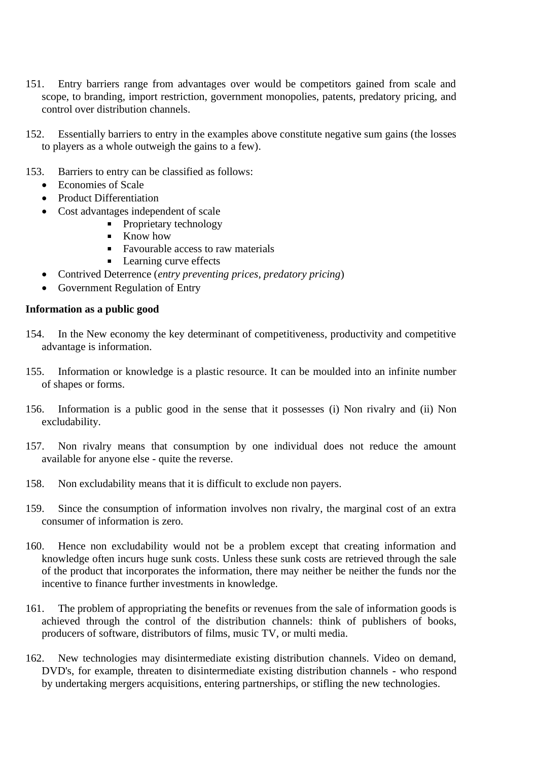- 151. Entry barriers range from advantages over would be competitors gained from scale and scope, to branding, import restriction, government monopolies, patents, predatory pricing, and control over distribution channels.
- 152. Essentially barriers to entry in the examples above constitute negative sum gains (the losses to players as a whole outweigh the gains to a few).
- 153. Barriers to entry can be classified as follows:
	- Economies of Scale
	- Product Differentiation
	- Cost advantages independent of scale
		- Proprietary technology
		- Know how  $\blacksquare$
		- Favourable access to raw materials
		- **Learning curve effects**
	- Contrived Deterrence (*entry preventing prices, predatory pricing*)
	- Government Regulation of Entry

#### **Information as a public good**

- 154. In the New economy the key determinant of competitiveness, productivity and competitive advantage is information.
- 155. Information or knowledge is a plastic resource. It can be moulded into an infinite number of shapes or forms.
- 156. Information is a public good in the sense that it possesses (i) Non rivalry and (ii) Non excludability.
- 157. Non rivalry means that consumption by one individual does not reduce the amount available for anyone else - quite the reverse.
- 158. Non excludability means that it is difficult to exclude non payers.
- 159. Since the consumption of information involves non rivalry, the marginal cost of an extra consumer of information is zero.
- 160. Hence non excludability would not be a problem except that creating information and knowledge often incurs huge sunk costs. Unless these sunk costs are retrieved through the sale of the product that incorporates the information, there may neither be neither the funds nor the incentive to finance further investments in knowledge.
- 161. The problem of appropriating the benefits or revenues from the sale of information goods is achieved through the control of the distribution channels: think of publishers of books, producers of software, distributors of films, music TV, or multi media.
- 162. New technologies may disintermediate existing distribution channels. Video on demand, DVD's, for example, threaten to disintermediate existing distribution channels - who respond by undertaking mergers acquisitions, entering partnerships, or stifling the new technologies.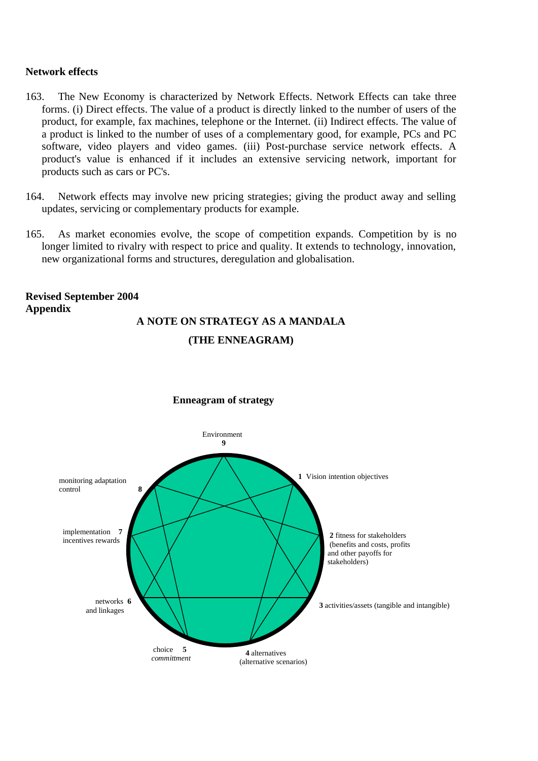#### **Network effects**

- 163. The New Economy is characterized by Network Effects. Network Effects can take three forms. (i) Direct effects. The value of a product is directly linked to the number of users of the product, for example, fax machines, telephone or the Internet. (ii) Indirect effects. The value of a product is linked to the number of uses of a complementary good, for example, PCs and PC software, video players and video games. (iii) Post-purchase service network effects. A product's value is enhanced if it includes an extensive servicing network, important for products such as cars or PC's.
- 164. Network effects may involve new pricing strategies; giving the product away and selling updates, servicing or complementary products for example.
- 165. As market economies evolve, the scope of competition expands. Competition by is no longer limited to rivalry with respect to price and quality. It extends to technology, innovation, new organizational forms and structures, deregulation and globalisation.

## **Revised September 2004 Appendix A NOTE ON STRATEGY AS A MANDALA (THE ENNEAGRAM)**